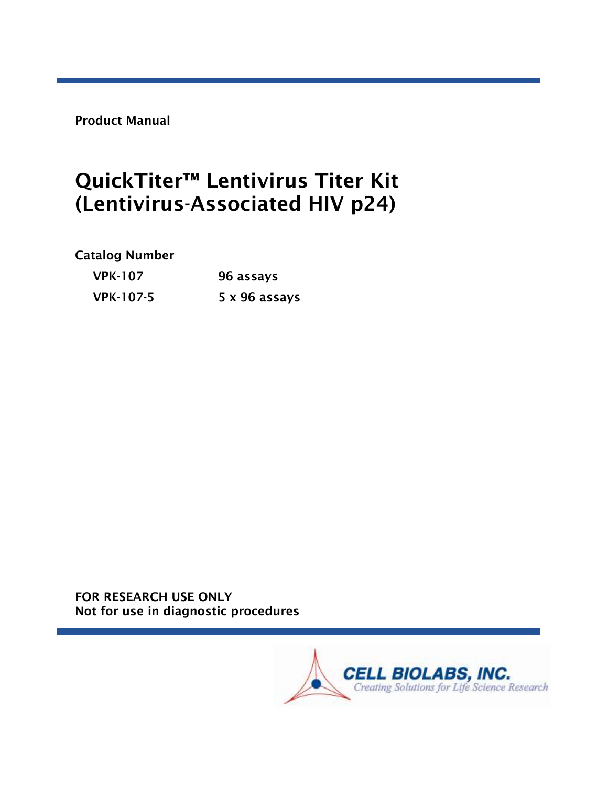Product Manual

# QuickTiter<sup>™</sup> Lentivirus Titer Kit (Lentivirus-Associated HIV p24)

Catalog Number

| <b>VPK-107</b>   | 96 assays     |  |
|------------------|---------------|--|
| <b>VPK-107-5</b> | 5 x 96 assays |  |

FOR RESEARCH USE ONLY Not for use in diagnostic procedures

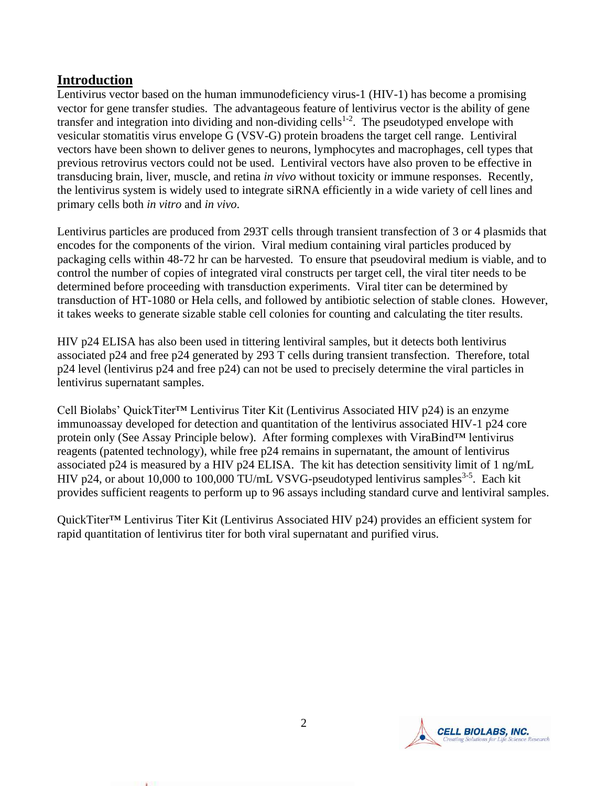# **Introduction**

Lentivirus vector based on the human immunodeficiency virus-1 (HIV-1) has become a promising vector for gene transfer studies. The advantageous feature of lentivirus vector is the ability of gene transfer and integration into dividing and non-dividing cells<sup>1-2</sup>. The pseudotyped envelope with vesicular stomatitis virus envelope G (VSV-G) protein broadens the target cell range. Lentiviral vectors have been shown to deliver genes to neurons, lymphocytes and macrophages, cell types that previous retrovirus vectors could not be used. Lentiviral vectors have also proven to be effective in transducing brain, liver, muscle, and retina *in vivo* without toxicity or immune responses. Recently, the lentivirus system is widely used to integrate siRNA efficiently in a wide variety of cell lines and primary cells both *in vitro* and *in vivo*.

Lentivirus particles are produced from 293T cells through transient transfection of 3 or 4 plasmids that encodes for the components of the virion. Viral medium containing viral particles produced by packaging cells within 48-72 hr can be harvested. To ensure that pseudoviral medium is viable, and to control the number of copies of integrated viral constructs per target cell, the viral titer needs to be determined before proceeding with transduction experiments. Viral titer can be determined by transduction of HT-1080 or Hela cells, and followed by antibiotic selection of stable clones. However, it takes weeks to generate sizable stable cell colonies for counting and calculating the titer results.

HIV p24 ELISA has also been used in tittering lentiviral samples, but it detects both lentivirus associated p24 and free p24 generated by 293 T cells during transient transfection. Therefore, total p24 level (lentivirus p24 and free p24) can not be used to precisely determine the viral particles in lentivirus supernatant samples.

Cell Biolabs' QuickTiter™ Lentivirus Titer Kit (Lentivirus Associated HIV p24) is an enzyme immunoassay developed for detection and quantitation of the lentivirus associated HIV-1 p24 core protein only (See Assay Principle below). After forming complexes with ViraBind™ lentivirus reagents (patented technology), while free p24 remains in supernatant, the amount of lentivirus associated p24 is measured by a HIV p24 ELISA. The kit has detection sensitivity limit of 1 ng/mL HIV p24, or about 10,000 to 100,000 TU/mL VSVG-pseudotyped lentivirus samples<sup>3-5</sup>. Each kit provides sufficient reagents to perform up to 96 assays including standard curve and lentiviral samples.

QuickTiter™ Lentivirus Titer Kit (Lentivirus Associated HIV p24) provides an efficient system for rapid quantitation of lentivirus titer for both viral supernatant and purified virus.

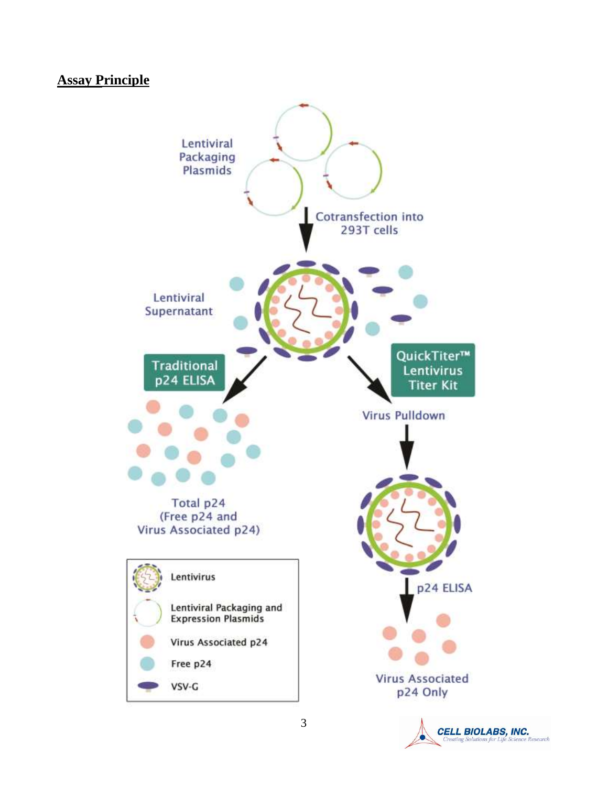# **Assay Principle**



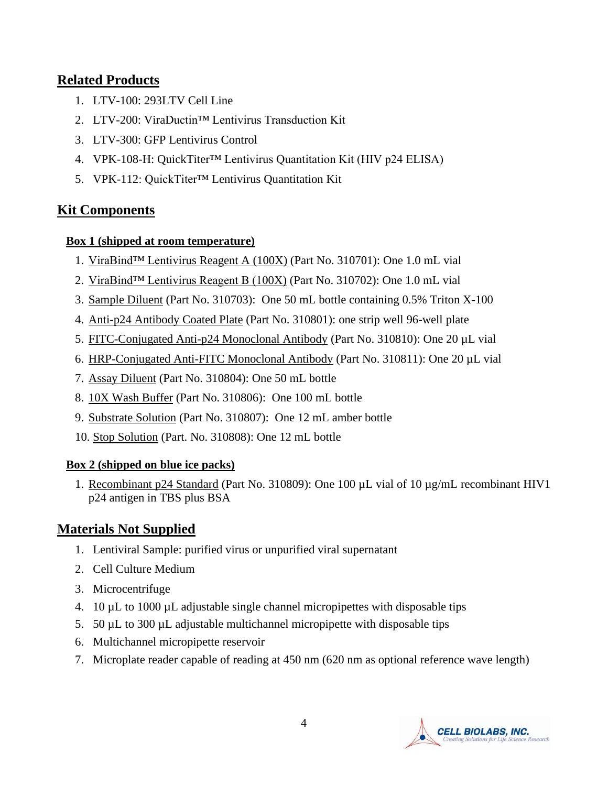## **Related Products**

- 1. LTV-100: 293LTV Cell Line
- 2. LTV-200: ViraDuctin™ Lentivirus Transduction Kit
- 3. LTV-300: GFP Lentivirus Control
- 4. VPK-108-H: QuickTiter™ Lentivirus Quantitation Kit (HIV p24 ELISA)
- 5. VPK-112: QuickTiter™ Lentivirus Quantitation Kit

# **Kit Components**

### **Box 1 (shipped at room temperature)**

- 1. ViraBind™ Lentivirus Reagent A (100X) (Part No. 310701): One 1.0 mL vial
- 2. ViraBind™ Lentivirus Reagent B (100X) (Part No. 310702): One 1.0 mL vial
- 3. Sample Diluent (Part No. 310703): One 50 mL bottle containing 0.5% Triton X-100
- 4. Anti-p24 Antibody Coated Plate (Part No. 310801): one strip well 96-well plate
- 5. FITC-Conjugated Anti-p24 Monoclonal Antibody (Part No. 310810): One 20 µL vial
- 6. HRP-Conjugated Anti-FITC Monoclonal Antibody (Part No. 310811): One 20 µL vial
- 7. Assay Diluent (Part No. 310804): One 50 mL bottle
- 8. 10X Wash Buffer (Part No. 310806): One 100 mL bottle
- 9. Substrate Solution (Part No. 310807): One 12 mL amber bottle
- 10. Stop Solution (Part. No. 310808): One 12 mL bottle

### **Box 2 (shipped on blue ice packs)**

1. Recombinant p24 Standard (Part No. 310809): One 100 µL vial of 10 µg/mL recombinant HIV1 p24 antigen in TBS plus BSA

# **Materials Not Supplied**

- 1. Lentiviral Sample: purified virus or unpurified viral supernatant
- 2. Cell Culture Medium
- 3. Microcentrifuge
- 4. 10 µL to 1000 µL adjustable single channel micropipettes with disposable tips
- 5. 50 µL to 300 µL adjustable multichannel micropipette with disposable tips
- 6. Multichannel micropipette reservoir
- 7. Microplate reader capable of reading at 450 nm (620 nm as optional reference wave length)

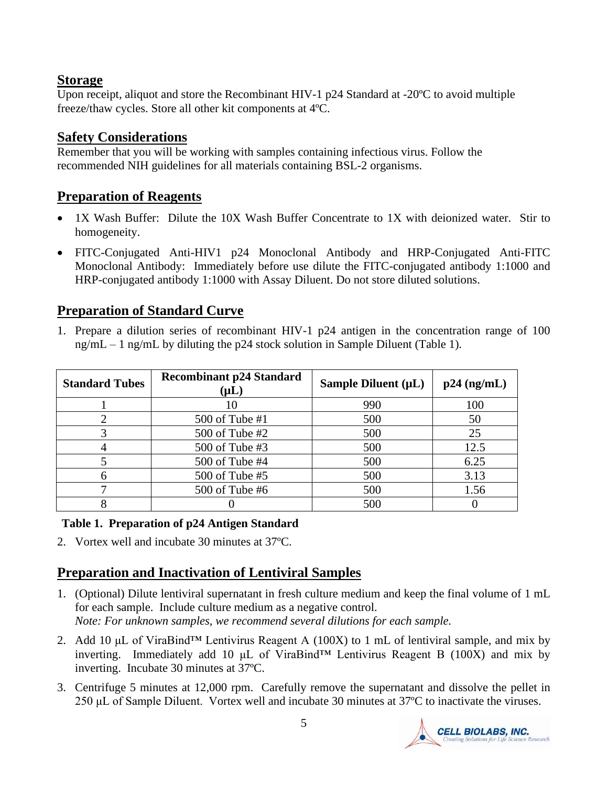# **Storage**

Upon receipt, aliquot and store the Recombinant HIV-1 p24 Standard at -20ºC to avoid multiple freeze/thaw cycles. Store all other kit components at 4ºC.

# **Safety Considerations**

Remember that you will be working with samples containing infectious virus. Follow the recommended NIH guidelines for all materials containing BSL-2 organisms.

# **Preparation of Reagents**

- 1X Wash Buffer: Dilute the 10X Wash Buffer Concentrate to 1X with deionized water. Stir to homogeneity.
- FITC-Conjugated Anti-HIV1 p24 Monoclonal Antibody and HRP-Conjugated Anti-FITC Monoclonal Antibody: Immediately before use dilute the FITC-conjugated antibody 1:1000 and HRP-conjugated antibody 1:1000 with Assay Diluent. Do not store diluted solutions.

# **Preparation of Standard Curve**

1. Prepare a dilution series of recombinant HIV-1 p24 antigen in the concentration range of 100 ng/mL – 1 ng/mL by diluting the p24 stock solution in Sample Diluent (Table 1).

| <b>Standard Tubes</b> | <b>Recombinant p24 Standard</b><br>$(\mathsf{\mu L})$ | Sample Diluent $(\mu L)$ | $p24$ (ng/mL) |
|-----------------------|-------------------------------------------------------|--------------------------|---------------|
|                       |                                                       | 990                      | 100           |
|                       | 500 of Tube #1                                        | 500                      | 50            |
|                       | 500 of Tube #2                                        | 500                      | 25            |
|                       | 500 of Tube #3                                        | 500                      | 12.5          |
|                       | 500 of Tube #4                                        | 500                      | 6.25          |
|                       | 500 of Tube #5                                        | 500                      | 3.13          |
|                       | 500 of Tube #6                                        | 500                      | 1.56          |
|                       |                                                       | 500                      |               |

### **Table 1. Preparation of p24 Antigen Standard**

2. Vortex well and incubate 30 minutes at 37ºC.

# **Preparation and Inactivation of Lentiviral Samples**

- 1. (Optional) Dilute lentiviral supernatant in fresh culture medium and keep the final volume of 1 mL for each sample. Include culture medium as a negative control. *Note: For unknown samples, we recommend several dilutions for each sample.*
- 2. Add 10  $\mu$ L of ViraBind<sup>TM</sup> Lentivirus Reagent A (100X) to 1 mL of lentiviral sample, and mix by inverting. Immediately add 10  $\mu$ L of ViraBind<sup>TM</sup> Lentivirus Reagent B (100X) and mix by inverting.Incubate 30 minutes at 37ºC.
- 3. Centrifuge 5 minutes at 12,000 rpm. Carefully remove the supernatant and dissolve the pellet in 250 μL of Sample Diluent. Vortex well and incubate 30 minutes at 37ºC to inactivate the viruses.

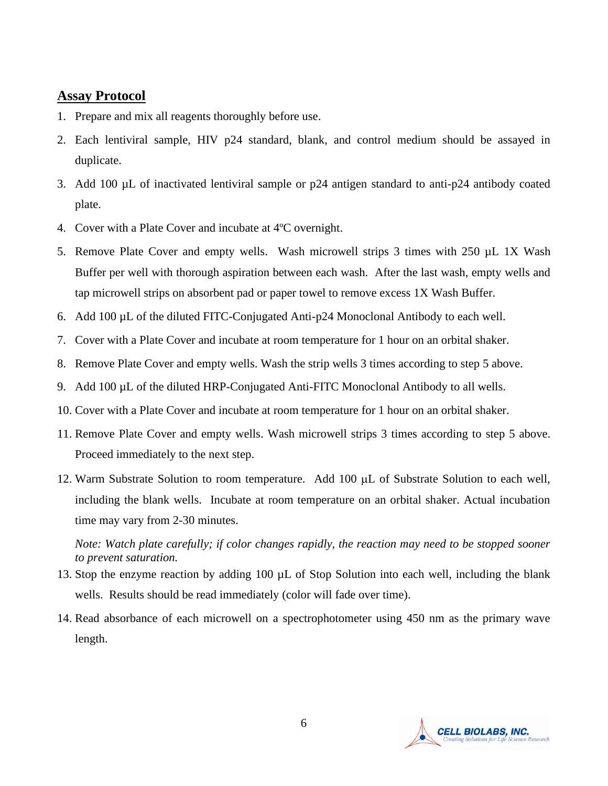#### **Assay Protocol**

- 1. Prepare and mix all reagents thoroughly before use.
- 2. Each lentiviral sample, HIV p24 standard, blank, and control medium should be assayed in duplicate.
- 3. Add 100 µL of inactivated lentiviral sample or p24 antigen standard to anti-p24 antibody coated plate.
- 4. Cover with a Plate Cover and incubate at 4ºC overnight.
- 5. Remove Plate Cover and empty wells. Wash microwell strips 3 times with 250 µL 1X Wash Buffer per well with thorough aspiration between each wash. After the last wash, empty wells and tap microwell strips on absorbent pad or paper towel to remove excess 1X Wash Buffer.
- 6. Add 100 µL of the diluted FITC-Conjugated Anti-p24 Monoclonal Antibody to each well.
- 7. Cover with a Plate Cover and incubate at room temperature for 1 hour on an orbital shaker.
- 8. Remove Plate Cover and empty wells. Wash the strip wells 3 times according to step 5 above.
- 9. Add 100 µL of the diluted HRP-Conjugated Anti-FITC Monoclonal Antibody to all wells.
- 10. Cover with a Plate Cover and incubate at room temperature for 1 hour on an orbital shaker.
- 11. Remove Plate Cover and empty wells. Wash microwell strips 3 times according to step 5 above. Proceed immediately to the next step.
- 12. Warm Substrate Solution to room temperature. Add  $100 \mu L$  of Substrate Solution to each well, including the blank wells. Incubate at room temperature on an orbital shaker. Actual incubation time may vary from 2-30 minutes.

*Note: Watch plate carefully; if color changes rapidly, the reaction may need to be stopped sooner to prevent saturation.*

- 13. Stop the enzyme reaction by adding 100 µL of Stop Solution into each well, including the blank wells. Results should be read immediately (color will fade over time).
- 14. Read absorbance of each microwell on a spectrophotometer using 450 nm as the primary wave length.

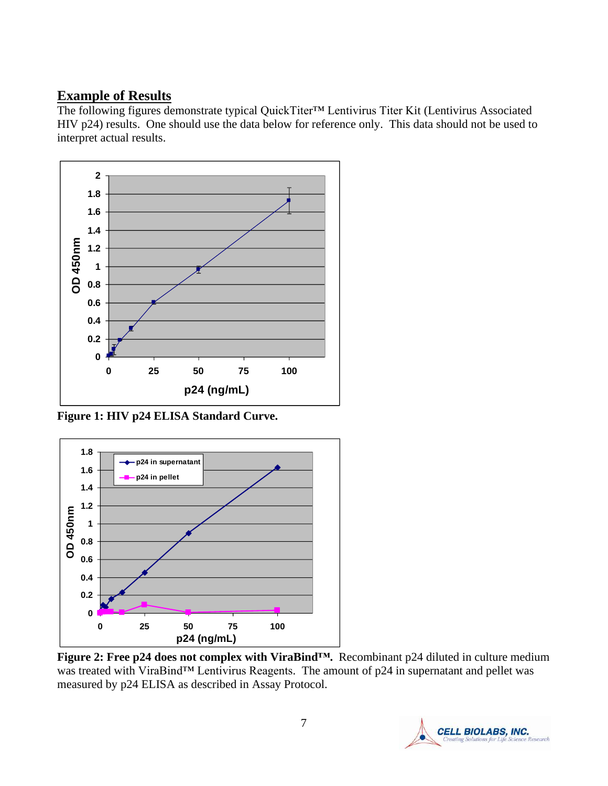### **Example of Results**

The following figures demonstrate typical QuickTiter™ Lentivirus Titer Kit (Lentivirus Associated HIV p24) results. One should use the data below for reference only. This data should not be used to interpret actual results.



**Figure 1: HIV p24 ELISA Standard Curve.**



**Figure 2: Free p24 does not complex with ViraBind™.** Recombinant p24 diluted in culture medium was treated with ViraBind™ Lentivirus Reagents. The amount of p24 in supernatant and pellet was measured by p24 ELISA as described in Assay Protocol.

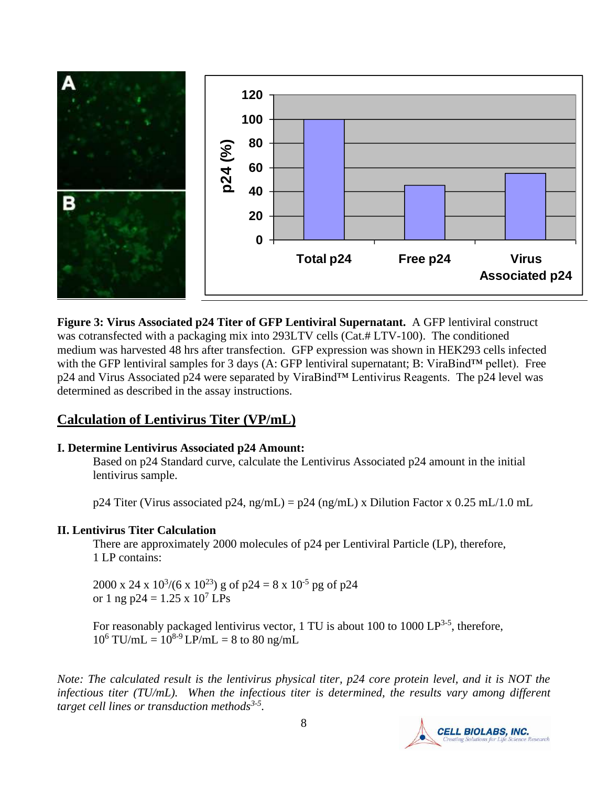

**Figure 3: Virus Associated p24 Titer of GFP Lentiviral Supernatant.** A GFP lentiviral construct was cotransfected with a packaging mix into 293LTV cells (Cat.# LTV-100). The conditioned medium was harvested 48 hrs after transfection. GFP expression was shown in HEK293 cells infected with the GFP lentiviral samples for 3 days (A: GFP lentiviral supernatant; B: ViraBind™ pellet). Free p24 and Virus Associated p24 were separated by ViraBind™ Lentivirus Reagents. The p24 level was determined as described in the assay instructions.

# **Calculation of Lentivirus Titer (VP/mL)**

### **I. Determine Lentivirus Associated p24 Amount:**

Based on p24 Standard curve, calculate the Lentivirus Associated p24 amount in the initial lentivirus sample.

 $p24$  Titer (Virus associated  $p24$ , ng/mL) =  $p24$  (ng/mL) x Dilution Factor x 0.25 mL/1.0 mL

### **II. Lentivirus Titer Calculation**

There are approximately 2000 molecules of p24 per Lentiviral Particle (LP), therefore, 1 LP contains:

2000 x 24 x  $10^{3}/(6 \times 10^{23})$  g of p24 = 8 x  $10^{-5}$  pg of p24 or 1 ng p24 =  $1.25 \times 10^7$  LPs

For reasonably packaged lentivirus vector, 1 TU is about 100 to 1000  $LP^{3-5}$ , therefore,  $10^6$  TU/mL =  $10^{8.9}$  LP/mL = 8 to 80 ng/mL

*Note: The calculated result is the lentivirus physical titer, p24 core protein level, and it is NOT the infectious titer (TU/mL). When the infectious titer is determined, the results vary among different target cell lines or transduction methods3-5 .*

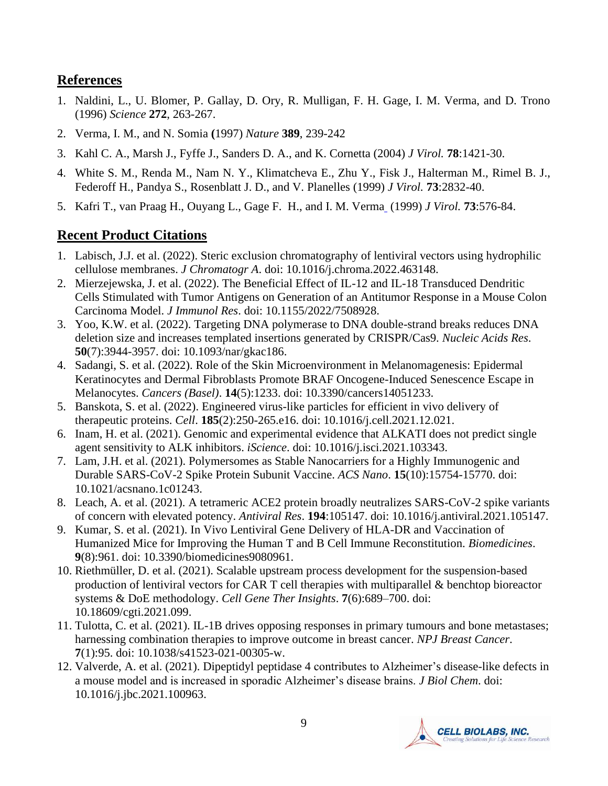## **References**

- 1. Naldini, L., U. Blomer, P. Gallay, D. Ory, R. Mulligan, F. H. Gage, I. M. Verma, and D. Trono (1996) *Science* **272**, 263-267.
- 2. Verma, I. M., and N. Somia **(**1997) *Nature* **389**, 239-242
- 3. [Kahl C. A.](http://www.ncbi.nlm.nih.gov/entrez/query.fcgi?db=pubmed&cmd=Search&term=%22Kahl+CA%22%5BAuthor%5D), [Marsh J.](http://www.ncbi.nlm.nih.gov/entrez/query.fcgi?db=pubmed&cmd=Search&term=%22Marsh+J%22%5BAuthor%5D), [Fyffe J.](http://www.ncbi.nlm.nih.gov/entrez/query.fcgi?db=pubmed&cmd=Search&term=%22Fyffe+J%22%5BAuthor%5D), [Sanders D. A.](http://www.ncbi.nlm.nih.gov/entrez/query.fcgi?db=pubmed&cmd=Search&term=%22Sanders+DA%22%5BAuthor%5D), and K. [Cornetta](http://www.ncbi.nlm.nih.gov/entrez/query.fcgi?db=pubmed&cmd=Search&term=%22Cornetta+K%22%5BAuthor%5D) (2004) *J Virol.* **78**:1421-30.
- 4. [White S. M.](http://www.ncbi.nlm.nih.gov/entrez/query.fcgi?db=pubmed&cmd=Search&term=%22White+SM%22%5BAuthor%5D), [Renda M.](http://www.ncbi.nlm.nih.gov/entrez/query.fcgi?db=pubmed&cmd=Search&term=%22Renda+M%22%5BAuthor%5D), [Nam N. Y.](http://www.ncbi.nlm.nih.gov/entrez/query.fcgi?db=pubmed&cmd=Search&term=%22Nam+NY%22%5BAuthor%5D), [Klimatcheva E.](http://www.ncbi.nlm.nih.gov/entrez/query.fcgi?db=pubmed&cmd=Search&term=%22Klimatcheva+E%22%5BAuthor%5D), [Zhu Y.](http://www.ncbi.nlm.nih.gov/entrez/query.fcgi?db=pubmed&cmd=Search&term=%22Zhu+Y%22%5BAuthor%5D), [Fisk J.](http://www.ncbi.nlm.nih.gov/entrez/query.fcgi?db=pubmed&cmd=Search&term=%22Fisk+J%22%5BAuthor%5D), [Halterman M.](http://www.ncbi.nlm.nih.gov/entrez/query.fcgi?db=pubmed&cmd=Search&term=%22Halterman+M%22%5BAuthor%5D), [Rimel B. J.](http://www.ncbi.nlm.nih.gov/entrez/query.fcgi?db=pubmed&cmd=Search&term=%22Rimel+BJ%22%5BAuthor%5D), [Federoff H.](http://www.ncbi.nlm.nih.gov/entrez/query.fcgi?db=pubmed&cmd=Search&term=%22Federoff+H%22%5BAuthor%5D), [Pandya S.](http://www.ncbi.nlm.nih.gov/entrez/query.fcgi?db=pubmed&cmd=Search&term=%22Pandya+S%22%5BAuthor%5D), [Rosenblatt J. D.](http://www.ncbi.nlm.nih.gov/entrez/query.fcgi?db=pubmed&cmd=Search&term=%22Rosenblatt+JD%22%5BAuthor%5D), and V. [Planelles](http://www.ncbi.nlm.nih.gov/entrez/query.fcgi?db=pubmed&cmd=Search&term=%22Planelles+V%22%5BAuthor%5D) (1999) *J Virol.* **73**:2832-40.
- 5. [Kafri T.](http://www.ncbi.nlm.nih.gov/entrez/query.fcgi?db=pubmed&cmd=Search&term=%22Kafri+T%22%5BAuthor%5D), [van Praag H.](http://www.ncbi.nlm.nih.gov/entrez/query.fcgi?db=pubmed&cmd=Search&term=%22van+Praag+H%22%5BAuthor%5D), [Ouyang L.](http://www.ncbi.nlm.nih.gov/entrez/query.fcgi?db=pubmed&cmd=Search&term=%22Ouyang+L%22%5BAuthor%5D), [Gage F. H.](http://www.ncbi.nlm.nih.gov/entrez/query.fcgi?db=pubmed&cmd=Search&term=%22Gage+FH%22%5BAuthor%5D), and I. M. [Verma](http://www.ncbi.nlm.nih.gov/entrez/query.fcgi?db=pubmed&cmd=Search&term=%22Verma+IM%22%5BAuthor%5D) (1999) *J Virol.* **73**:576-84.

# **Recent Product Citations**

- 1. Labisch, J.J. et al. (2022). Steric exclusion chromatography of lentiviral vectors using hydrophilic cellulose membranes. *J Chromatogr A*. doi: 10.1016/j.chroma.2022.463148.
- 2. Mierzejewska, J. et al. (2022). The Beneficial Effect of IL-12 and IL-18 Transduced Dendritic Cells Stimulated with Tumor Antigens on Generation of an Antitumor Response in a Mouse Colon Carcinoma Model. *J Immunol Res*. doi: 10.1155/2022/7508928.
- 3. Yoo, K.W. et al. (2022). Targeting DNA polymerase to DNA double-strand breaks reduces DNA deletion size and increases templated insertions generated by CRISPR/Cas9. *Nucleic Acids Res*. **50**(7):3944-3957. doi: 10.1093/nar/gkac186.
- 4. Sadangi, S. et al. (2022). Role of the Skin Microenvironment in Melanomagenesis: Epidermal Keratinocytes and Dermal Fibroblasts Promote BRAF Oncogene-Induced Senescence Escape in Melanocytes. *Cancers (Basel)*. **14**(5):1233. doi: 10.3390/cancers14051233.
- 5. Banskota, S. et al. (2022). Engineered virus-like particles for efficient in vivo delivery of therapeutic proteins. *Cell*. **185**(2):250-265.e16. doi: 10.1016/j.cell.2021.12.021.
- 6. Inam, H. et al. (2021). Genomic and experimental evidence that ALKATI does not predict single agent sensitivity to ALK inhibitors. *iScience*. doi: 10.1016/j.isci.2021.103343.
- 7. Lam, J.H. et al. (2021). Polymersomes as Stable Nanocarriers for a Highly Immunogenic and Durable SARS-CoV-2 Spike Protein Subunit Vaccine. *ACS Nano*. **15**(10):15754-15770. doi: 10.1021/acsnano.1c01243.
- 8. Leach, A. et al. (2021). A tetrameric ACE2 protein broadly neutralizes SARS-CoV-2 spike variants of concern with elevated potency. *Antiviral Res*. **194**:105147. doi: 10.1016/j.antiviral.2021.105147.
- 9. Kumar, S. et al. (2021). In Vivo Lentiviral Gene Delivery of HLA-DR and Vaccination of Humanized Mice for Improving the Human T and B Cell Immune Reconstitution. *Biomedicines*. **9**(8):961. doi: 10.3390/biomedicines9080961.
- 10. Riethmüller, D. et al. (2021). Scalable upstream process development for the suspension-based production of lentiviral vectors for CAR T cell therapies with multiparallel & benchtop bioreactor systems & DoE methodology. *Cell Gene Ther Insights*. **7**(6):689–700. doi: 10.18609/cgti.2021.099.
- 11. Tulotta, C. et al. (2021). IL-1B drives opposing responses in primary tumours and bone metastases; harnessing combination therapies to improve outcome in breast cancer. *NPJ Breast Cancer*. **7**(1):95. doi: 10.1038/s41523-021-00305-w.
- 12. Valverde, A. et al. (2021). Dipeptidyl peptidase 4 contributes to Alzheimer's disease-like defects in a mouse model and is increased in sporadic Alzheimer's disease brains. *J Biol Chem*. doi: 10.1016/j.jbc.2021.100963.

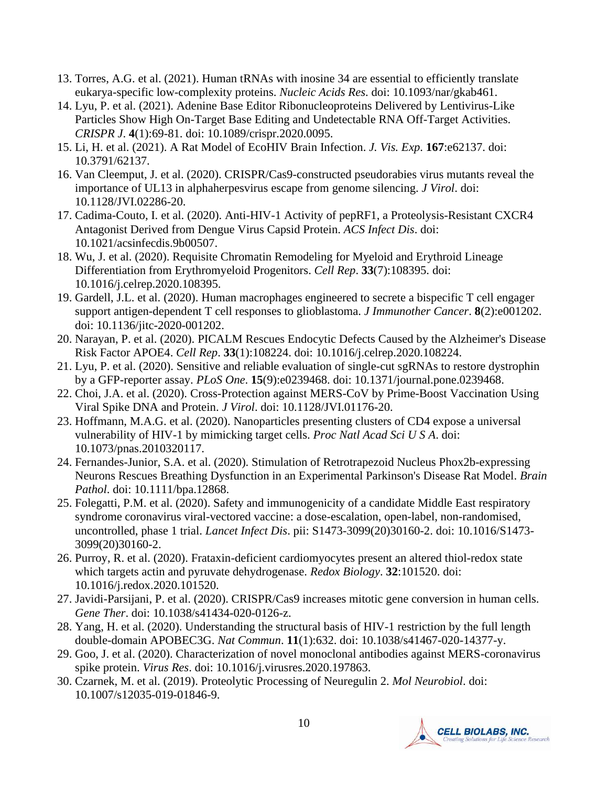- 13. Torres, A.G. et al. (2021). Human tRNAs with inosine 34 are essential to efficiently translate eukarya-specific low-complexity proteins. *Nucleic Acids Res*. doi: 10.1093/nar/gkab461.
- 14. Lyu, P. et al. (2021). Adenine Base Editor Ribonucleoproteins Delivered by Lentivirus-Like Particles Show High On-Target Base Editing and Undetectable RNA Off-Target Activities. *CRISPR J*. **4**(1):69-81. doi: 10.1089/crispr.2020.0095.
- 15. Li, H. et al. (2021). A Rat Model of EcoHIV Brain Infection. *J. Vis. Exp*. **167**:e62137. doi: 10.3791/62137.
- 16. Van Cleemput, J. et al. (2020). CRISPR/Cas9-constructed pseudorabies virus mutants reveal the importance of UL13 in alphaherpesvirus escape from genome silencing. *J Virol*. doi: 10.1128/JVI.02286-20.
- 17. Cadima-Couto, I. et al. (2020). Anti-HIV-1 Activity of pepRF1, a Proteolysis-Resistant CXCR4 Antagonist Derived from Dengue Virus Capsid Protein. *ACS Infect Dis*. doi: 10.1021/acsinfecdis.9b00507.
- 18. Wu, J. et al. (2020). Requisite Chromatin Remodeling for Myeloid and Erythroid Lineage Differentiation from Erythromyeloid Progenitors. *Cell Rep*. **33**(7):108395. doi: 10.1016/j.celrep.2020.108395.
- 19. Gardell, J.L. et al. (2020). Human macrophages engineered to secrete a bispecific T cell engager support antigen-dependent T cell responses to glioblastoma. *J Immunother Cancer*. **8**(2):e001202. doi: 10.1136/jitc-2020-001202.
- 20. Narayan, P. et al. (2020). PICALM Rescues Endocytic Defects Caused by the Alzheimer's Disease Risk Factor APOE4. *Cell Rep*. **33**(1):108224. doi: 10.1016/j.celrep.2020.108224.
- 21. Lyu, P. et al. (2020). Sensitive and reliable evaluation of single-cut sgRNAs to restore dystrophin by a GFP-reporter assay. *PLoS One*. **15**(9):e0239468. doi: 10.1371/journal.pone.0239468.
- 22. Choi, J.A. et al. (2020). Cross-Protection against MERS-CoV by Prime-Boost Vaccination Using Viral Spike DNA and Protein. *J Virol*. doi: 10.1128/JVI.01176-20.
- 23. Hoffmann, M.A.G. et al. (2020). Nanoparticles presenting clusters of CD4 expose a universal vulnerability of HIV-1 by mimicking target cells. *Proc Natl Acad Sci U S A*. doi: 10.1073/pnas.2010320117.
- 24. Fernandes-Junior, S.A. et al. (2020). Stimulation of Retrotrapezoid Nucleus Phox2b-expressing Neurons Rescues Breathing Dysfunction in an Experimental Parkinson's Disease Rat Model. *Brain Pathol*. doi: 10.1111/bpa.12868.
- 25. Folegatti, P.M. et al. (2020). Safety and immunogenicity of a candidate Middle East respiratory syndrome coronavirus viral-vectored vaccine: a dose-escalation, open-label, non-randomised, uncontrolled, phase 1 trial. *Lancet Infect Dis*. pii: S1473-3099(20)30160-2. doi: 10.1016/S1473- 3099(20)30160-2.
- 26. Purroy, R. et al. (2020). Frataxin-deficient cardiomyocytes present an altered thiol-redox state which targets actin and pyruvate dehydrogenase. *Redox Biology*. **32**:101520. doi: 10.1016/j.redox.2020.101520.
- 27. Javidi-Parsijani, P. et al. (2020). CRISPR/Cas9 increases mitotic gene conversion in human cells. *Gene Ther*. doi: 10.1038/s41434-020-0126-z.
- 28. Yang, H. et al. (2020). Understanding the structural basis of HIV-1 restriction by the full length double-domain APOBEC3G. *Nat Commun*. **11**(1):632. doi: 10.1038/s41467-020-14377-y.
- 29. Goo, J. et al. (2020). Characterization of novel monoclonal antibodies against MERS-coronavirus spike protein. *Virus Res*. doi: 10.1016/j.virusres.2020.197863.
- 30. Czarnek, M. et al. (2019). Proteolytic Processing of Neuregulin 2. *Mol Neurobiol*. doi: 10.1007/s12035-019-01846-9.